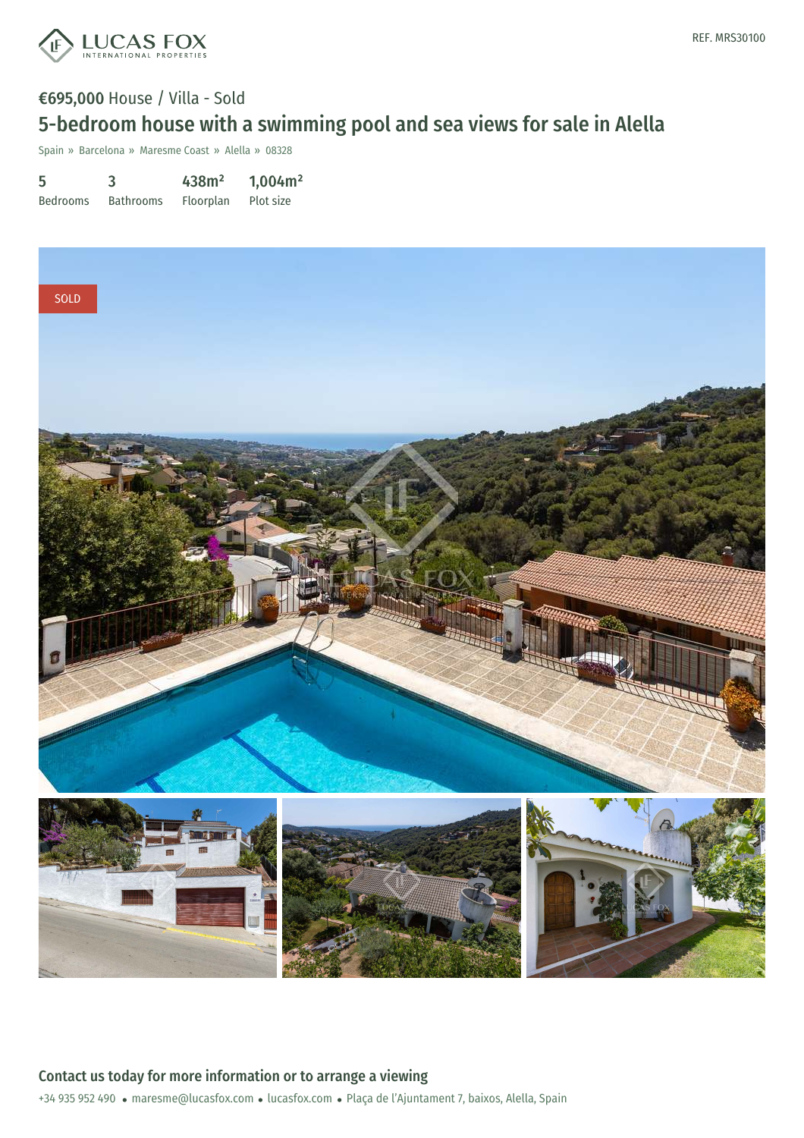

## €695,000 House / Villa - Sold 5-bedroom house with a swimming pool and sea views for sale in Alella

Spain » Barcelona » Maresme Coast » Alella » 08328

| 5               |                  | 438m <sup>2</sup> | 1,004m <sup>2</sup> |
|-----------------|------------------|-------------------|---------------------|
| <b>Bedrooms</b> | <b>Bathrooms</b> | <b>Floorplan</b>  | Plot size           |

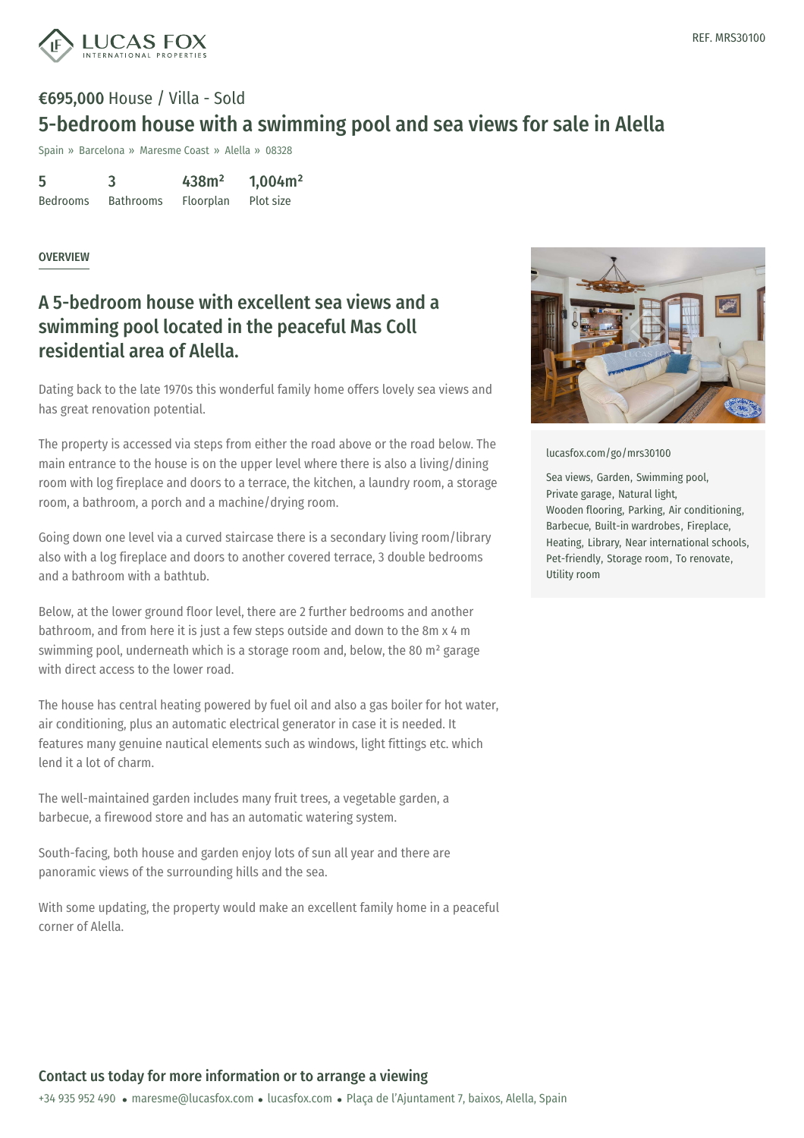

# €695,000 House / Villa - Sold 5-bedroom house with a swimming pool and sea views for sale in Alella

Spain » Barcelona » Maresme Coast » Alella » 08328

5 Bedrooms 3 Bathrooms 438m² Floorplan 1,004m² Plot size

#### OVERVIEW

### A 5-bedroom house with excellent sea views and a swimming pool located in the peaceful Mas Coll residential area of Alella.

Dating back to the late 1970s this wonderful family home offers lovely sea views and has great renovation potential.

The property is accessed via steps from either the road above or the road below. The main entrance to the house is on the upper level where there is also a living/dining room with log fireplace and doors to a terrace, the kitchen, a laundry room, a storage room, a bathroom, a porch and a machine/drying room.

Going down one level via a curved staircase there is a secondary living room/library also with a log fireplace and doors to another covered terrace, 3 double bedrooms and a bathroom with a bathtub.

Below, at the lower ground floor level, there are 2 further bedrooms and another bathroom, and from here it is just a few steps outside and down to the 8m x 4 m swimming pool, underneath which is a storage room and, below, the 80 m² garage with direct access to the lower road.

The house has central heating powered by fuel oil and also a gas boiler for hot water, air conditioning, plus an automatic electrical generator in case it is needed. It features many genuine nautical elements such as windows, light fittings etc. which lend it a lot of charm.

The well-maintained garden includes many fruit trees, a vegetable garden, a barbecue, a firewood store and has an automatic watering system.

South-facing, both house and [garden](mailto:maresme@lucasfox.com) enjoy [lots](https://www.lucasfox.com) of sun all year and there are panoramic views of the surrounding hills and the sea.

With some updating, the property would make an excellent family home in a peaceful corner of Alella.



[lucasfox.com/go/mrs30100](https://www.lucasfox.com/go/mrs30100)

Sea views, Garden, Swimming pool, Private garage, Natural light, Wooden flooring, Parking, Air conditioning, Barbecue, Built-in wardrobes, Fireplace, Heating, Library, Near international schools, Pet-friendly, Storage room, To renovate, Utility room